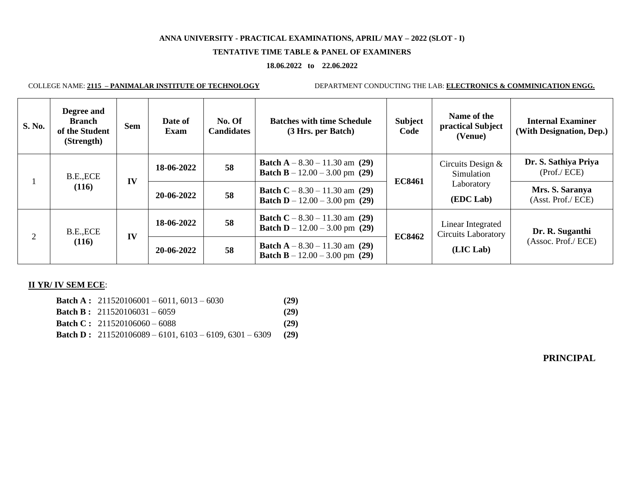# **TENTATIVE TIME TABLE & PANEL OF EXAMINERS**

#### **18.06.2022 to 22.06.2022**

COLLEGE NAME: **2115 – PANIMALAR INSTITUTE OF TECHNOLOGY** DEPARTMENT CONDUCTING THE LAB: **ELECTRONICS & COMMINICATION ENGG.**

| <b>S. No.</b> | Degree and<br><b>Branch</b><br>of the Student<br>(Strength) | <b>Sem</b> | Date of<br><b>Exam</b> | No. Of<br><b>Candidates</b> | <b>Batches with time Schedule</b><br>(3 Hrs. per Batch)                            | <b>Subject</b><br>Code | Name of the<br>practical Subject<br>(Venue)                  | <b>Internal Examiner</b><br>(With Designation, Dep.) |
|---------------|-------------------------------------------------------------|------------|------------------------|-----------------------------|------------------------------------------------------------------------------------|------------------------|--------------------------------------------------------------|------------------------------------------------------|
|               | B.E., ECE<br>(116)                                          | IV         | 18-06-2022             | 58                          | <b>Batch A</b> $- 8.30 - 11.30$ am (29)<br><b>Batch B</b> $- 12.00 - 3.00$ pm (29) | <b>EC8461</b>          | Circuits Design $&$<br>Simulation<br>Laboratory<br>(EDC Lab) | Dr. S. Sathiya Priya<br>(Prof./ ECE)                 |
|               |                                                             |            | 20-06-2022             | 58                          | <b>Batch C</b> – 8.30 – 11.30 am (29)<br><b>Batch D</b> – 12.00 – 3.00 pm (29)     |                        |                                                              | Mrs. S. Saranya<br>(Asst. Prof./ ECE)                |
| 2             | B.E., ECE<br>(116)                                          | IV         | 18-06-2022             | 58                          | <b>Batch C</b> – 8.30 – 11.30 am (29)<br><b>Batch D</b> – 12.00 – 3.00 pm (29)     | <b>EC8462</b>          | Linear Integrated<br><b>Circuits Laboratory</b><br>(LIC Lab) | Dr. R. Suganthi<br>(Assoc. Prof./ ECE)               |
|               |                                                             |            | 20-06-2022             | 58                          | <b>Batch A</b> $- 8.30 - 11.30$ am (29)<br><b>Batch B</b> $- 12.00 - 3.00$ pm (29) |                        |                                                              |                                                      |

# **II YR/ IV SEM ECE**:

| <b>Batch A:</b> $211520106001 - 6011, 6013 - 6030$               | (29) |
|------------------------------------------------------------------|------|
| <b>Batch B:</b> $211520106031 - 6059$                            | (29) |
| <b>Batch C:</b> $211520106060 - 6088$                            | (29) |
| <b>Batch D</b> : $211520106089 - 6101, 6103 - 6109, 6301 - 6309$ | (29) |

# **PRINCIPAL**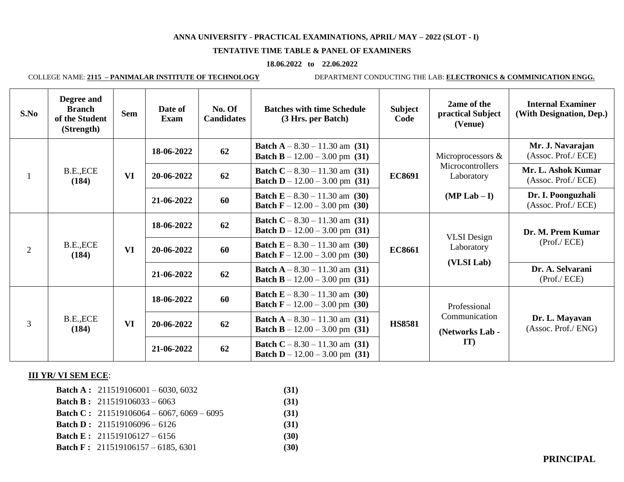# **TENTATIVE TIME TABLE & PANEL OF EXAMINERS**

#### **18.06.2022 to 22.06.2022**

COLLEGE NAME: **2115 – PANIMALAR INSTITUTE OF TECHNOLOGY** DEPARTMENT CONDUCTING THE LAB: **ELECTRONICS & COMMINICATION ENGG.**

| S.No           | Degree and<br><b>Branch</b><br>of the Student<br>(Strength) | <b>Sem</b> | Date of<br><b>Exam</b> | No. Of<br><b>Candidates</b> | <b>Batches with time Schedule</b><br>(3 Hrs. per Batch)                            | <b>Subject</b><br>Code | 2ame of the<br>practical Subject<br>(Venue)                           | <b>Internal Examiner</b><br>(With Designation, Dep.) |
|----------------|-------------------------------------------------------------|------------|------------------------|-----------------------------|------------------------------------------------------------------------------------|------------------------|-----------------------------------------------------------------------|------------------------------------------------------|
|                | B.E., ECE<br>(184)                                          | <b>VI</b>  | 18-06-2022             | 62                          | <b>Batch A</b> $- 8.30 - 11.30$ am (31)<br><b>Batch B</b> – $12.00 - 3.00$ pm (31) | <b>EC8691</b>          | Microprocessors &<br>Microcontrollers<br>Laboratory<br>$(MP Lab - I)$ | Mr. J. Navarajan<br>(Assoc. Prof./ ECE)              |
|                |                                                             |            | 20-06-2022             | 62                          | <b>Batch C</b> – 8.30 – 11.30 am (31)<br><b>Batch D</b> – $12.00 - 3.00$ pm (31)   |                        |                                                                       | Mr. L. Ashok Kumar<br>(Assoc. Prof./ ECE)            |
|                |                                                             |            | 21-06-2022             | 60                          | <b>Batch E</b> – 8.30 – 11.30 am (30)<br><b>Batch F</b> – 12.00 – 3.00 pm (30)     |                        |                                                                       | Dr. I. Poonguzhali<br>(Assoc. Prof./ ECE)            |
| $\overline{2}$ | B.E., ECE<br>(184)                                          | <b>VI</b>  | 18-06-2022             | 62                          | <b>Batch C</b> – 8.30 – 11.30 am (31)<br><b>Batch D</b> – $12.00 - 3.00$ pm (31)   | <b>EC8661</b>          | <b>VLSI</b> Design<br>Laboratory<br>(VLSI Lab)                        | Dr. M. Prem Kumar<br>(Prof./ ECE)                    |
|                |                                                             |            | 20-06-2022             | 60                          | <b>Batch E</b> – 8.30 – 11.30 am (30)<br><b>Batch F</b> – 12.00 – 3.00 pm (30)     |                        |                                                                       |                                                      |
|                |                                                             |            | 21-06-2022             | 62                          | <b>Batch A</b> $- 8.30 - 11.30$ am (31)<br><b>Batch B</b> – $12.00 - 3.00$ pm (31) |                        |                                                                       | Dr. A. Selvarani<br>(Prof./ ECE)                     |
| 3              | B.E., ECE<br>(184)                                          | <b>VI</b>  | 18-06-2022             | 60                          | <b>Batch E</b> – 8.30 – 11.30 am (30)<br><b>Batch F</b> – 12.00 – 3.00 pm (30)     | <b>HS8581</b>          | Professional<br>Communication<br>(Networks Lab -                      | Dr. L. Mayavan<br>(Assoc. Prof./ ENG)                |
|                |                                                             |            | 20-06-2022             | 62                          | <b>Batch A</b> $- 8.30 - 11.30$ am (31)<br><b>Batch B</b> – $12.00 - 3.00$ pm (31) |                        |                                                                       |                                                      |
|                |                                                             |            | 21-06-2022             | 62                          | <b>Batch C</b> – 8.30 – 11.30 am (31)<br><b>Batch D</b> – 12.00 – 3.00 pm (31)     |                        | IT)                                                                   |                                                      |

# **III YR/ VI SEM ECE**:

| <b>Batch A:</b> $211519106001 - 6030, 6032$      | (31) |
|--------------------------------------------------|------|
| <b>Batch B</b> : $211519106033 - 6063$           | (31) |
| <b>Batch C:</b> 211519106064 - 6067, 6069 - 6095 | (31) |
| <b>Batch D:</b> $211519106096 - 6126$            | (31) |
| <b>Batch E:</b> $211519106127 - 6156$            | (30) |
| <b>Batch F:</b> 211519106157 - 6185, 6301        | (30) |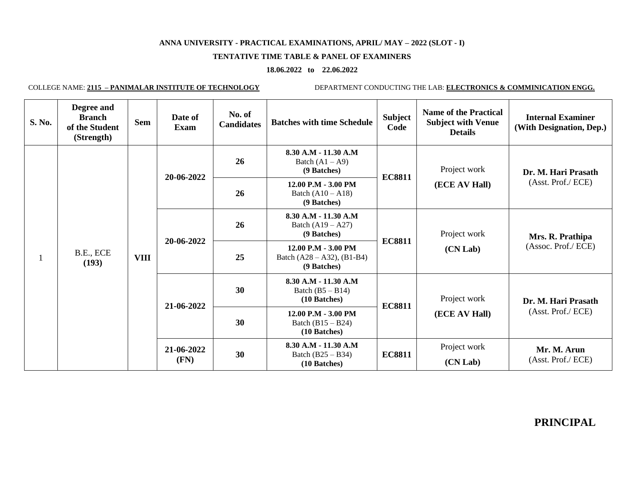# **TENTATIVE TIME TABLE & PANEL OF EXAMINERS**

# **18.06.2022 to 22.06.2022**

COLLEGE NAME: **2115 – PANIMALAR INSTITUTE OF TECHNOLOGY** DEPARTMENT CONDUCTING THE LAB: **ELECTRONICS & COMMINICATION ENGG.**

| S. No. | Degree and<br><b>Branch</b><br>of the Student<br>(Strength) | <b>Sem</b>  | Date of<br>Exam | No. of<br><b>Candidates</b> | <b>Batches with time Schedule</b>                                         | <b>Subject</b><br>Code                                                     | <b>Name of the Practical</b><br><b>Subject with Venue</b><br><b>Details</b> | <b>Internal Examiner</b><br>(With Designation, Dep.) |                          |
|--------|-------------------------------------------------------------|-------------|-----------------|-----------------------------|---------------------------------------------------------------------------|----------------------------------------------------------------------------|-----------------------------------------------------------------------------|------------------------------------------------------|--------------------------|
|        | B.E., ECE<br>(193)                                          | <b>VIII</b> | 20-06-2022      | 26                          | $8.30 A.M - 11.30 A.M$<br>Batch $(A1 - A9)$<br>(9 Batches)                | <b>EC8811</b>                                                              | Project work<br>(ECE AV Hall)                                               | Dr. M. Hari Prasath                                  |                          |
|        |                                                             |             |                 | 26                          | 12.00 P.M - 3.00 PM<br>Batch $(A10 - A18)$<br>(9 Batches)                 |                                                                            |                                                                             | (Asst. Prof./ ECE)                                   |                          |
|        |                                                             |             | 20-06-2022      | 26                          | 8.30 A.M - 11.30 A.M<br>Batch $(A19 - A27)$<br>(9 Batches)                |                                                                            | Project work                                                                | Mrs. R. Prathipa                                     |                          |
|        |                                                             |             |                 | 25                          | $12.00$ P.M $- 3.00$ PM<br>Batch $(A28 - A32)$ , $(B1-B4)$<br>(9 Batches) | <b>EC8811</b>                                                              | (CN Lab)                                                                    | (Assoc. Prof./ ECE)                                  |                          |
|        |                                                             |             |                 | 21-06-2022                  | 30                                                                        | 8.30 A.M - 11.30 A.M<br>Batch $(B5 - B14)$<br>Project work<br>(10 Batches) |                                                                             |                                                      | Dr. M. Hari Prasath      |
|        |                                                             |             |                 | 30                          | $12.00$ P.M $- 3.00$ PM<br>Batch $(B15 - B24)$<br>(10 Batches)            | <b>EC8811</b>                                                              | (ECE AV Hall)                                                               | (Asst. Prof./ ECE)                                   |                          |
|        |                                                             |             |                 |                             | 21-06-2022<br>(FN)                                                        | 30                                                                         | 8.30 A.M - 11.30 A.M<br>Batch $(B25 - B34)$<br>(10 Batches)                 | <b>EC8811</b>                                        | Project work<br>(CN Lab) |

**PRINCIPAL**